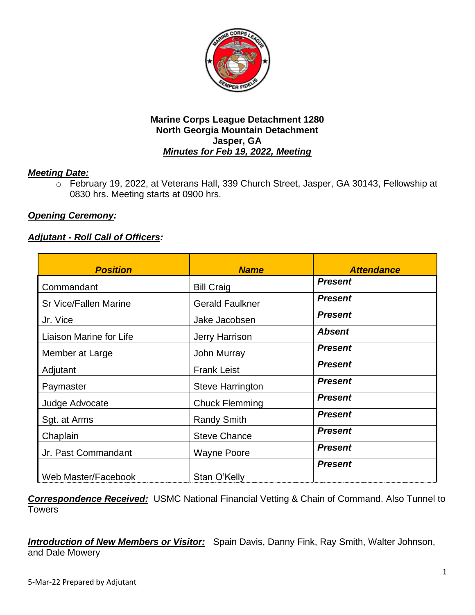

# *Meeting Date:*

o February 19, 2022, at Veterans Hall, 339 Church Street, Jasper, GA 30143, Fellowship at 0830 hrs. Meeting starts at 0900 hrs.

# *Opening Ceremony:*

# *Adjutant - Roll Call of Officers:*

| <b>Position</b>              | <b>Name</b>            | <b>Attendance</b> |
|------------------------------|------------------------|-------------------|
| Commandant                   | <b>Bill Craig</b>      | <b>Present</b>    |
| <b>Sr Vice/Fallen Marine</b> | <b>Gerald Faulkner</b> | <b>Present</b>    |
| Jr. Vice                     | Jake Jacobsen          | <b>Present</b>    |
| Liaison Marine for Life      | Jerry Harrison         | <b>Absent</b>     |
| Member at Large              | John Murray            | <b>Present</b>    |
| Adjutant                     | <b>Frank Leist</b>     | <b>Present</b>    |
| Paymaster                    | Steve Harrington       | <b>Present</b>    |
| Judge Advocate               | <b>Chuck Flemming</b>  | <b>Present</b>    |
| Sgt. at Arms                 | <b>Randy Smith</b>     | <b>Present</b>    |
| Chaplain                     | <b>Steve Chance</b>    | <b>Present</b>    |
| Jr. Past Commandant          | <b>Wayne Poore</b>     | <b>Present</b>    |
| Web Master/Facebook          | Stan O'Kelly           | <b>Present</b>    |

*Correspondence Received:* USMC National Financial Vetting & Chain of Command. Also Tunnel to **Towers** 

*Introduction of New Members or Visitor:* Spain Davis, Danny Fink, Ray Smith, Walter Johnson, and Dale Mowery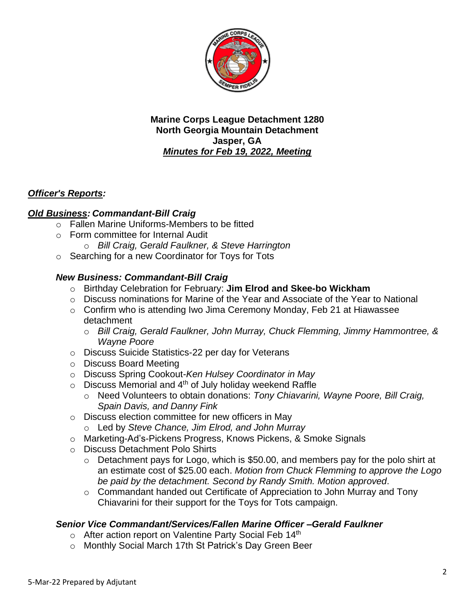

# *Officer's Reports:*

# *Old Business: Commandant-Bill Craig*

- o Fallen Marine Uniforms-Members to be fitted
- o Form committee for Internal Audit
	- o *Bill Craig, Gerald Faulkner, & Steve Harrington*
- o Searching for a new Coordinator for Toys for Tots

# *New Business: Commandant-Bill Craig*

- o Birthday Celebration for February: **Jim Elrod and Skee-bo Wickham**
- o Discuss nominations for Marine of the Year and Associate of the Year to National
- $\circ$  Confirm who is attending Iwo Jima Ceremony Monday, Feb 21 at Hiawassee detachment
	- o *Bill Craig, Gerald Faulkner, John Murray, Chuck Flemming, Jimmy Hammontree, & Wayne Poore*
- o Discuss Suicide Statistics-22 per day for Veterans
- o Discuss Board Meeting
- o Discuss Spring Cookout-*Ken Hulsey Coordinator in May*
- $\circ$  Discuss Memorial and 4<sup>th</sup> of July holiday weekend Raffle
	- o Need Volunteers to obtain donations: *Tony Chiavarini, Wayne Poore, Bill Craig, Spain Davis, and Danny Fink*
- o Discuss election committee for new officers in May
	- o Led by *Steve Chance, Jim Elrod, and John Murray*
- o Marketing-Ad's-Pickens Progress, Knows Pickens, & Smoke Signals
- o Discuss Detachment Polo Shirts
	- o Detachment pays for Logo, which is \$50.00, and members pay for the polo shirt at an estimate cost of \$25.00 each. *Motion from Chuck Flemming to approve the Logo be paid by the detachment. Second by Randy Smith. Motion approved*.
	- o Commandant handed out Certificate of Appreciation to John Murray and Tony Chiavarini for their support for the Toys for Tots campaign.

#### *Senior Vice Commandant/Services/Fallen Marine Officer –Gerald Faulkner*

- o After action report on Valentine Party Social Feb 14th
- o Monthly Social March 17th St Patrick's Day Green Beer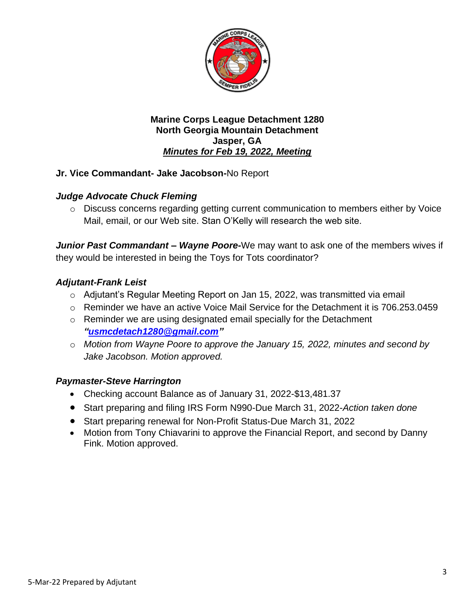

# **Jr. Vice Commandant- Jake Jacobson-**No Report

# *Judge Advocate Chuck Fleming*

o Discuss concerns regarding getting current communication to members either by Voice Mail, email, or our Web site. Stan O'Kelly will research the web site.

*Junior Past Commandant – Wayne Poore-*We may want to ask one of the members wives if they would be interested in being the Toys for Tots coordinator?

#### *Adjutant-Frank Leist*

- o Adjutant's Regular Meeting Report on Jan 15, 2022, was transmitted via email
- o Reminder we have an active Voice Mail Service for the Detachment it is 706.253.0459
- $\circ$  Reminder we are using designated email specially for the Detachment *["usmcdetach1280@gmail.com"](file:///C:/Users/Frank/Documents/USMC%20Det%20Jasper/Minutes/usmcdetach1280@gmail.com)*
- o *Motion from Wayne Poore to approve the January 15, 2022, minutes and second by Jake Jacobson. Motion approved.*

# *Paymaster-Steve Harrington*

- Checking account Balance as of January 31, 2022-\$13,481.37
- Start preparing and filing IRS Form N990-Due March 31, 2022-*Action taken done*
- Start preparing renewal for Non-Profit Status-Due March 31, 2022
- Motion from Tony Chiavarini to approve the Financial Report, and second by Danny Fink. Motion approved.